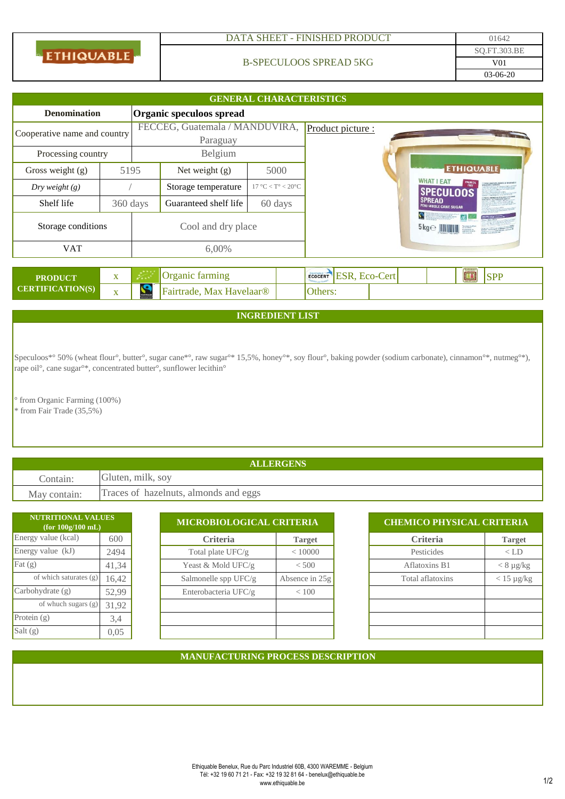| <b>ETHIQUABLE</b> |
|-------------------|
|                   |

## DATA SHEET - FINISHED PRODUCT 01642

## B-SPECULOOS SPREAD 5KG

| <b>GENERAL CHARACTERISTICS</b>                  |                         |                                            |                          |                                         |  |                                        |                                               |                                                          |                                       |  |            |  |
|-------------------------------------------------|-------------------------|--------------------------------------------|--------------------------|-----------------------------------------|--|----------------------------------------|-----------------------------------------------|----------------------------------------------------------|---------------------------------------|--|------------|--|
| Organic speculoos spread<br><b>Denomination</b> |                         |                                            |                          |                                         |  |                                        |                                               |                                                          |                                       |  |            |  |
| Cooperative name and country                    |                         | FECCEG, Guatemala / MANDUVIRA,<br>Paraguay |                          |                                         |  | Product picture :                      |                                               |                                                          |                                       |  |            |  |
| Processing country                              |                         | Belgium                                    |                          |                                         |  |                                        |                                               |                                                          |                                       |  |            |  |
| Gross weight $(g)$                              | 5195                    |                                            | Net weight $(g)$         | 5000                                    |  |                                        |                                               |                                                          | <b>ETHIQUABLE</b>                     |  |            |  |
| Dry weight $(g)$                                |                         |                                            | Storage temperature      | $17 \text{ °C} < T$ ° < $20 \text{ °C}$ |  |                                        |                                               |                                                          | <b>WHAT I EAT</b><br><b>SPECULOOS</b> |  |            |  |
| Shelf life                                      | 360 days                |                                            | Guaranteed shelf life    | 60 days                                 |  | <b>SPREAD</b><br>PERU WHOLE CANE SUGAR |                                               |                                                          |                                       |  |            |  |
| Storage conditions                              |                         | Cool and dry place                         |                          |                                         |  |                                        | $\theta$ as $\theta$<br>$5 \text{kg} \ominus$ | Fan at Jean Nashimov<br>NGC 22 E 6804<br>A isanggunan ca |                                       |  |            |  |
| <b>VAT</b>                                      |                         | 6,00%                                      |                          |                                         |  |                                        |                                               |                                                          |                                       |  |            |  |
|                                                 |                         |                                            |                          |                                         |  |                                        |                                               |                                                          |                                       |  |            |  |
| <b>PRODUCT</b>                                  | X                       |                                            | Organic farming          |                                         |  |                                        | ECOCERT ESR, ECO-Cert                         |                                                          |                                       |  | <b>SPP</b> |  |
| <b>CERTIFICATION(S)</b>                         | $\overline{\mathbf{X}}$ | $\mathbf{C}$                               | Fairtrade, Max Havelaar® |                                         |  | Others:                                |                                               |                                                          |                                       |  |            |  |

**INGREDIENT LIST**

Speculoos\*° 50% (wheat flour°, butter°, sugar cane\*°, raw sugar°\* 15,5%, honey°\*, soy flour°, baking powder (sodium carbonate), cinnamon°\*, nutmeg°\*), rape oil°, cane sugar°\*, concentrated butter°, sunflower lecithin°

° from Organic Farming (100%) \* from Fair Trade (35,5%)

**ALLERGENS** Contain: Gluten, milk, soy May contain: Traces of hazelnuts, almonds and eggs

| <b>NUTRITIONAL VALUES</b><br>(for 100g/100 mL) |       |                        | MICROBIOLOGICAL CRITERIA |                  | <b>CHEMICO PHYSICAL CRITERIA</b> |  |  |  |
|------------------------------------------------|-------|------------------------|--------------------------|------------------|----------------------------------|--|--|--|
| Energy value (kcal)                            | 600   | <b>Criteria</b>        | <b>Target</b>            | <b>Criteria</b>  | <b>Target</b>                    |  |  |  |
| Energy value (kJ)                              | 2494  | Total plate UFC/g      | < 10000                  | Pesticides       | $<$ LD                           |  |  |  |
| $\text{Fat}(g)$                                | 41,34 | Yeast & Mold UFC/g     | < 500                    | Aflatoxins B1    | $< 8 \mu g/kg$                   |  |  |  |
| of which saturates (g)                         | 16,42 | Salmonelle spp $UFC/g$ | Absence in $25g$         | Total aflatoxins | $< 15 \mu g/kg$                  |  |  |  |
| Carbohydrate(g)                                | 52,99 | Enterobacteria UFC/g   | ${}< 100$                |                  |                                  |  |  |  |
| of whuch sugars (g)                            | 31,92 |                        |                          |                  |                                  |  |  |  |
| Protein $(g)$                                  | 3,4   |                        |                          |                  |                                  |  |  |  |
| Salt $(g)$                                     | 0,05  |                        |                          |                  |                                  |  |  |  |

| <b>CHEMICO PHYSICAL CRITERIA</b> |                   |  |  |  |  |  |
|----------------------------------|-------------------|--|--|--|--|--|
| <b>Criteria</b>                  | <b>Target</b>     |  |  |  |  |  |
| Pesticides                       | $<$ LD            |  |  |  |  |  |
| Aflatoxins B1                    | $< 8 \mu g/kg$    |  |  |  |  |  |
| Total aflatoxins                 | $<$ 15 $\mu$ g/kg |  |  |  |  |  |
|                                  |                   |  |  |  |  |  |
|                                  |                   |  |  |  |  |  |
|                                  |                   |  |  |  |  |  |
|                                  |                   |  |  |  |  |  |

## **MANUFACTURING PROCESS DESCRIPTION**